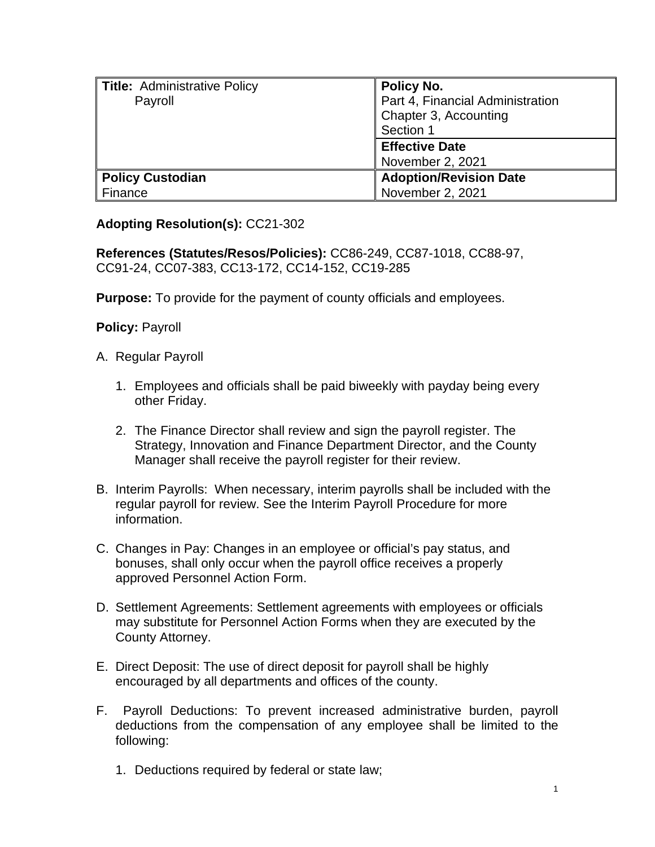| Title: Administrative Policy | Policy No.                       |
|------------------------------|----------------------------------|
| Payroll                      | Part 4, Financial Administration |
|                              | Chapter 3, Accounting            |
|                              | Section 1                        |
|                              | <b>Effective Date</b>            |
|                              | November 2, 2021                 |
| <b>Policy Custodian</b>      | <b>Adoption/Revision Date</b>    |
| Finance                      | November 2, 2021                 |

## **Adopting Resolution(s):** CC21-302

**References (Statutes/Resos/Policies):** CC86-249, CC87-1018, CC88-97, CC91-24, CC07-383, CC13-172, CC14-152, CC19-285

**Purpose:** To provide for the payment of county officials and employees.

**Policy:** Payroll

- A. Regular Payroll
	- 1. Employees and officials shall be paid biweekly with payday being every other Friday.
	- 2. The Finance Director shall review and sign the payroll register. The Strategy, Innovation and Finance Department Director, and the County Manager shall receive the payroll register for their review.
- B. Interim Payrolls: When necessary, interim payrolls shall be included with the regular payroll for review. See the Interim Payroll Procedure for more information.
- C. Changes in Pay: Changes in an employee or official's pay status, and bonuses, shall only occur when the payroll office receives a properly approved Personnel Action Form.
- D. Settlement Agreements: Settlement agreements with employees or officials may substitute for Personnel Action Forms when they are executed by the County Attorney.
- E. Direct Deposit: The use of direct deposit for payroll shall be highly encouraged by all departments and offices of the county.
- F. Payroll Deductions: To prevent increased administrative burden, payroll deductions from the compensation of any employee shall be limited to the following:
	- 1. Deductions required by federal or state law;